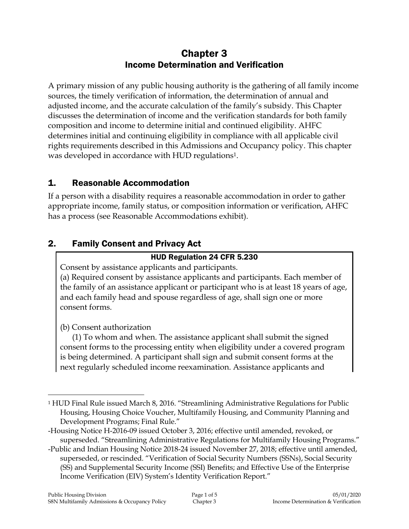# Chapter 3 Income Determination and Verification

A primary mission of any public housing authority is the gathering of all family income sources, the timely verification of information, the determination of annual and adjusted income, and the accurate calculation of the family's subsidy. This Chapter discusses the determination of income and the verification standards for both family composition and income to determine initial and continued eligibility. AHFC determines initial and continuing eligibility in compliance with all applicable civil rights requirements described in this Admissions and Occupancy policy. This chapter was developed in accordance with HUD regulations<sup>1</sup>.

# 1. Reasonable Accommodation

If a person with a disability requires a reasonable accommodation in order to gather appropriate income, family status, or composition information or verification, AHFC has a process (see Reasonable Accommodations exhibit).

# 2. Family Consent and Privacy Act

### HUD Regulation 24 CFR 5.230

Consent by assistance applicants and participants.

(a) Required consent by assistance applicants and participants. Each member of the family of an assistance applicant or participant who is at least 18 years of age, and each family head and spouse regardless of age, shall sign one or more consent forms.

(b) Consent authorization

 $\overline{a}$ 

(1) To whom and when. The assistance applicant shall submit the signed consent forms to the processing entity when eligibility under a covered program is being determined. A participant shall sign and submit consent forms at the next regularly scheduled income reexamination. Assistance applicants and

<sup>1</sup> HUD Final Rule issued March 8, 2016. "Streamlining Administrative Regulations for Public Housing, Housing Choice Voucher, Multifamily Housing, and Community Planning and Development Programs; Final Rule."

<sup>-</sup>Housing Notice H-2016-09 issued October 3, 2016; effective until amended, revoked, or superseded. "Streamlining Administrative Regulations for Multifamily Housing Programs."

<sup>-</sup>Public and Indian Housing Notice 2018-24 issued November 27, 2018; effective until amended, superseded, or rescinded. "Verification of Social Security Numbers (SSNs), Social Security (SS) and Supplemental Security Income (SSI) Benefits; and Effective Use of the Enterprise Income Verification (EIV) System's Identity Verification Report."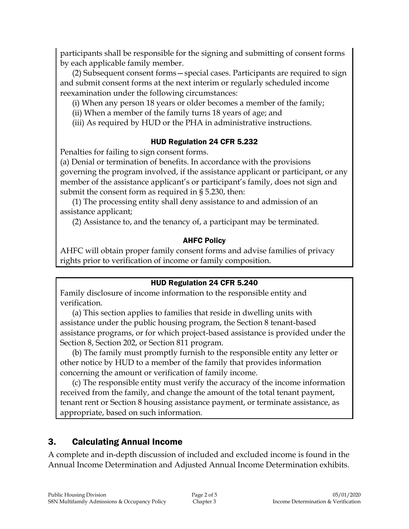participants shall be responsible for the signing and submitting of consent forms by each applicable family member.

(2) Subsequent consent forms—special cases. Participants are required to sign and submit consent forms at the next interim or regularly scheduled income reexamination under the following circumstances:

(i) When any person 18 years or older becomes a member of the family;

(ii) When a member of the family turns 18 years of age; and

(iii) As required by HUD or the PHA in administrative instructions.

### HUD Regulation 24 CFR 5.232

Penalties for failing to sign consent forms.

(a) Denial or termination of benefits. In accordance with the provisions governing the program involved, if the assistance applicant or participant, or any member of the assistance applicant's or participant's family, does not sign and submit the consent form as required in § 5.230, then:

(1) The processing entity shall deny assistance to and admission of an assistance applicant;

(2) Assistance to, and the tenancy of, a participant may be terminated.

### AHFC Policy

AHFC will obtain proper family consent forms and advise families of privacy rights prior to verification of income or family composition.

#### HUD Regulation 24 CFR 5.240

Family disclosure of income information to the responsible entity and verification.

(a) This section applies to families that reside in dwelling units with assistance under the public housing program, the Section 8 tenant-based assistance programs, or for which project-based assistance is provided under the Section 8, Section 202, or Section 811 program.

(b) The family must promptly furnish to the responsible entity any letter or other notice by HUD to a member of the family that provides information concerning the amount or verification of family income.

(c) The responsible entity must verify the accuracy of the income information received from the family, and change the amount of the total tenant payment, tenant rent or Section 8 housing assistance payment, or terminate assistance, as appropriate, based on such information.

# 3. Calculating Annual Income

A complete and in-depth discussion of included and excluded income is found in the Annual Income Determination and Adjusted Annual Income Determination exhibits.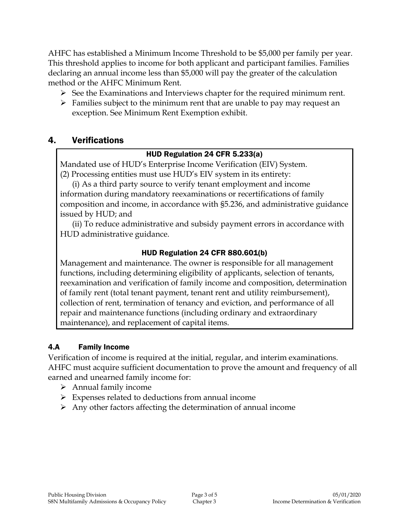AHFC has established a Minimum Income Threshold to be \$5,000 per family per year. This threshold applies to income for both applicant and participant families. Families declaring an annual income less than \$5,000 will pay the greater of the calculation method or the AHFC Minimum Rent.

- $\triangleright$  See the Examinations and Interviews chapter for the required minimum rent.
- $\triangleright$  Families subject to the minimum rent that are unable to pay may request an exception. See Minimum Rent Exemption exhibit.

# 4. Verifications

### HUD Regulation 24 CFR 5.233(a)

Mandated use of HUD's Enterprise Income Verification (EIV) System. (2) Processing entities must use HUD's EIV system in its entirety:

(i) As a third party source to verify tenant employment and income information during mandatory reexaminations or recertifications of family composition and income, in accordance with §5.236, and administrative guidance issued by HUD; and

(ii) To reduce administrative and subsidy payment errors in accordance with HUD administrative guidance.

### HUD Regulation 24 CFR 880.601(b)

Management and maintenance. The owner is responsible for all management functions, including determining eligibility of applicants, selection of tenants, reexamination and verification of family income and composition, determination of family rent (total tenant payment, tenant rent and utility reimbursement), collection of rent, termination of tenancy and eviction, and performance of all repair and maintenance functions (including ordinary and extraordinary maintenance), and replacement of capital items.

# 4.A Family Income

Verification of income is required at the initial, regular, and interim examinations. AHFC must acquire sufficient documentation to prove the amount and frequency of all earned and unearned family income for:

- $\triangleright$  Annual family income
- $\triangleright$  Expenses related to deductions from annual income
- $\triangleright$  Any other factors affecting the determination of annual income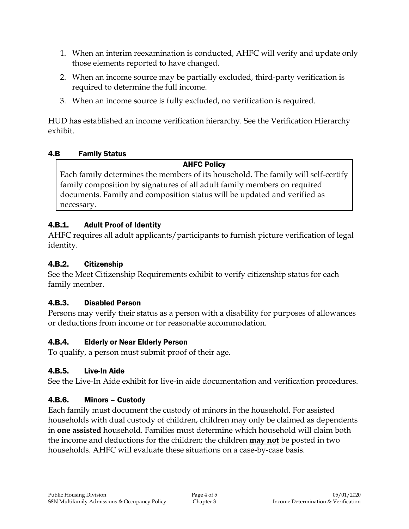- 1. When an interim reexamination is conducted, AHFC will verify and update only those elements reported to have changed.
- 2. When an income source may be partially excluded, third-party verification is required to determine the full income.
- 3. When an income source is fully excluded, no verification is required.

HUD has established an income verification hierarchy. See the Verification Hierarchy exhibit.

### 4.B Family Status

### AHFC Policy

Each family determines the members of its household. The family will self-certify family composition by signatures of all adult family members on required documents. Family and composition status will be updated and verified as necessary.

# 4.B.1. Adult Proof of Identity

AHFC requires all adult applicants/participants to furnish picture verification of legal identity.

### 4.B.2. Citizenship

See the Meet Citizenship Requirements exhibit to verify citizenship status for each family member.

# 4.B.3. Disabled Person

Persons may verify their status as a person with a disability for purposes of allowances or deductions from income or for reasonable accommodation.

# 4.B.4. Elderly or Near Elderly Person

To qualify, a person must submit proof of their age.

# 4.B.5. Live-In Aide

See the Live-In Aide exhibit for live-in aide documentation and verification procedures.

# 4.B.6. Minors – Custody

Each family must document the custody of minors in the household. For assisted households with dual custody of children, children may only be claimed as dependents in **one assisted** household. Families must determine which household will claim both the income and deductions for the children; the children **may not** be posted in two households. AHFC will evaluate these situations on a case-by-case basis.